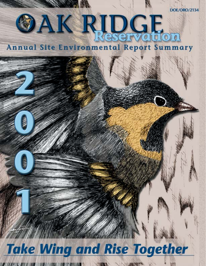# **OAK RIDGE Annual Site Environmental Report Summary**

# **Take Wing and Rise Together**

 $\mathcal{L}^{\prime\prime}$  and  $\mathcal{L}^{\prime\prime}$  and  $\mathcal{L}^{\prime\prime}$  and  $\mathcal{L}^{\prime\prime}$  and  $\mathcal{L}^{\prime\prime}$  and  $\mathcal{L}^{\prime\prime}$  and  $\mathcal{L}^{\prime\prime}$  and  $\mathcal{L}^{\prime\prime}$  and  $\mathcal{L}^{\prime\prime}$  and  $\mathcal{L}^{\prime\prime}$  and  $\mathcal{L}^{\prime\prime}$  and  $\mathcal{L}^{\prime\prime$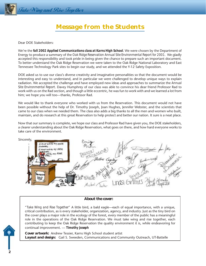

Take Wing and Rise Together

# **Message from the Students**

Dear DOE Stakeholders:

We're the *fall 2002 Applied Communications class at Karns High School*. We were chosen by the Department of Energy to produce a summary of the *Oak Ridge Reservation Annual Site Environmental Report for 2001*. We gladly accepted this responsibility and took pride in being given the chance to prepare such an important document. To better understand the Oak Ridge Reservation we were taken to the Oak Ridge National Laboratory and East Tennessee Technology Park sites to begin our study, and we attended the Y-12 Safety Exposition.

DOE asked us to use our class's diverse creativity and imaginative personalities so that the document would be interesting and easy to understand, and in particular we were challenged to develop unique ways to explain radiation. We accepted the challenge and have employed new ideas and approaches to summarize the *Annual Site Environmental Report*. Davey Humphrey of our class was able to convince his dear friend Professor Rad to work with us on the Rad section, and though a little eccentric, he was fun to work with and we learned a lot from him; we hope you will too—thanks, Professor Rad.

We would like to thank everyone who worked with us from the Reservation. This document would not have been possible without the help of Dr. Timothy Joseph, Joan Hughes, Jennifer Webster, and the scientists that came to our class when we needed them. The class also adds a big thanks to all the men and women who built, maintain, and do research at this great Reservation to help protect and better our nation. It sure is a neat place.

Now that our summary is complete, we hope our class and Professor Rad have given you, the DOE stakeholders, a clearer understanding about the Oak Ridge Reservation, what goes on there, and how hard everyone works to take care of the environment.



#### *About the cover:*

*"Take Wing and Rise Together"* A little bird, a bald eagle—each of equal importance, with a unique, critical contribution, as is every stakeholder, organization, agency, and industry. Just as the tiny bird on the cover plays a major role in the ecology of the forest, every member of the public has a meaningful role in the operations of the Oak Ridge Reservation. We must take wing and rise together, each contributing to keep the Oak Ridge Reservation the quality environment it is, while endeavoring for continual improvement. — *Timothy Joseph*

*Cover artwork:* Andrew Tessier, Karns High School student artist **Layout and design:** Gail S. Sweeden, Communications and Community Outreach, UT-Battelle

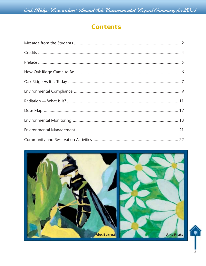Oak Ridge Reservation Annual Site Environmental Report Summary for 2001

# **Contents**

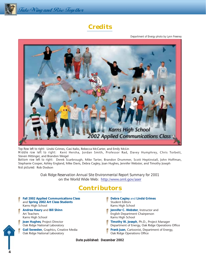

# **Credits**

*Department of Energy photo by Lynn Freeney*



*Top Row left to right:* Lindsi Grimes, Casi Italio, Rebecca McCarter, and Emily McLin

*Middle row left to right:* Kent Hersha, Jordan Smith, Professor Rad, Davey Humphrey, Chris Torbett, Steven Hittinger, and Brandon Weigel

*Bottom row left to right:* Derek Scarbrough, Mike Tarter, Brandon Drummer, Scott Heptinstall, John Hoffman, Stephanie Cooper, Ashley England, Mike Davis, Debra Cagley, Joan Hughes, Jennifer Webster, and Timothy Joseph *Not pictured:* Rob Dodson

> *Oak Ridge Reservation Annual Site Environmental Report Summary for 2001* on the World Wide Web: http:/www.ornl.gov/aser

## **Contributors**

- **Fall 2002 Applied Communications Class Debra Cagley** and **Lindsi Grimes** and **Spring 2002 Art Class Students** Student Student Editors Karns High School **Karns High School** Karns High School **Karns High School**
- Karns High School **Karns High School** Karns High School **Karns High School**
- 
- 
- Oak Ridge National Laboratory **Communist Constructs** Oak Ridge Operations Office
- 
- **Andrea Haury and Bill Shinn Jennifer C. Webster, Instructor and Jennifer C. Webster, Instructor and**
- Art Teachers **English Department Chairperson**
- **Joan Hughes**, Project Director **Timothy W. Joseph**, Ph.D., Project Manager
- Oak Ridge National Laboratory **Department of Energy, Oak Ridge Operations Office**
- Gail Sweeden, Graphics, Creative Media **Frank Juan, Cartoonist, Department of Energy,** 
	-

*Date published: December 2002*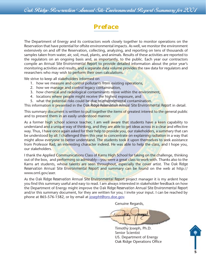

The Department of Energy and its contractors work closely together to monitor operations on the Reservation that have potential for offsite environmental impacts. As well, we monitor the environment extensively on and off the Reservation, collecting, analyzing, and reporting on tens of thousands of samples taken from water, air, soil, mud, plants, and animals. Results of these activities are reported to the regulators on an ongoing basis and, as importantly, to the public. Each year our contractors compile an *Annual Site Environmental Report* to provide detailed information about the prior year's monitoring activities and results, and a separate data volume provides the raw data for regulators and researchers who may wish to perform their own calculations.

We strive to keep all stakeholders informed on

- 1. how we measure and control pollutants from existing operations,
- 2. how we manage and control legacy contamination,
- 3. how chemical and radiological contaminants move within the environment,
- 4. locations where people might receive the highest exposure, and
- 5. what the potential risks could be due to environmental contamination.

This information is presented in the *Oak Ridge Reservation Annual Site Environmental Report* in detail.

This summary document is written to pull together the items of greatest interest to the general public and to present them in an easily understood manner.

As a former high school science teacher, I am well aware that students have a keen capability to understand and a unique way of thinking, and they are able to get ideas across in a clear and effective way. Thus, I have once again asked for their help to provide you, our stakeholders, a summary that can be understood by all. I challenged them this year to concentrate on explaining radiation in a way that might allow everyone to better understand. The students took it upon themselves to seek assistance from Professor Rad, an interesting character indeed. He was able to help the class, and I hope you, our stakeholders.

I thank the Applied Communications Class of Karns High School for taking on the challenge, thinking out of the box, and performing so admirably—you were a great class to work with. Thanks also to the Karns art students, whose talents are seen throughout, especially the cover artist. The *Oak Ridge Reservation Annual Site Environmental Report* and summary can be found on the web at http:// www.ornl.gov/aser.

As the *Oak Ridge Reservation Annual Site Environmental Report* project manager it is my ardent hope you find this summary useful and easy to read. I am always interested in stakeholder feedback on how the Department of Energy might improve the *Oak Ridge Reservation Annual Site Environmental Report* and/or this summary document, for they are written for you; I invite your input. I can be reached by phone at 865-576-1582, or by email at josepht@oro.doe.gov.

Genuine Regards,

Timothy Joseph, Ph.D. Senior Scientist US. Department of Energy Oak Ridge Operations Office

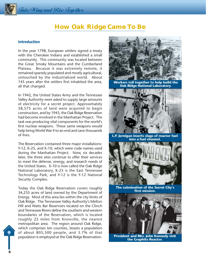# **How Oak Ridge Came To Be**

#### **Introduction**

In the year 1798, European settlers signed a treaty with the Cherokee Indians and established a small community. This community was located between the Great Smoky Mountains and the Cumberland Plateau. Because it was extremely remote, it remained sparsely populated and mostly agricultural, untouched by the industrialized world. About 145 years after the settlers first inhabited the area, all that changed.

In 1942, the United States Army and the Tennessee Valley Authority were asked to supply large amounts of electricity for a secret project. Approximately 58,575 acres of land were acquired to begin construction, and by 1943, the Oak Ridge Reservation had become involved in the Manhattan Project. The task was producing vital components for the world's first nuclear weapons. These same weapons would help bring World War II to an end and save thousands of lives.

The Reservation contained three major installations: Y-12, K-25, and X-10, which were code names used during the Manhattan Project. Now, six decades later, the three sites continue to offer their services to meet the defense, energy, and research needs of the United States. X-10 is now called the Oak Ridge National Laboratory, K-25 is the East Tennessee Technology Park, and Y-12 is the Y-12 National Security Complex.

Today the Oak Ridge Reservation covers roughly 34,235 acres of land owned by the Department of Energy. Most of this area lies within the city limits of Oak Ridge. The Tennessee Valley Authority's Melton Hill and Watts Bar Reservoirs located on the Clinch and Tennessee Rivers define the southern and western boundaries of the Reservation, which is located roughly 25 miles from Knoxville, the nearest metropolitan area. The region around Oak Ridge, which comprises ten counties, boasts a population of about 805,500 people, and 3.7% of that population is employed at the Oak Ridge Reservation.



President and Mrs. John Kennedy visit the Graphite Reactor.

**6**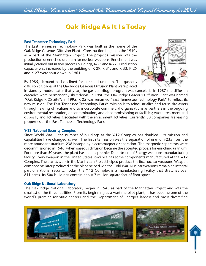### Oak Ridge Reservation Annual Site Environmental Report Summary for 2001

# **Oak Ridge As It Is Today**

#### *East Tennessee Technology Park*

The East Tennessee Technology Park was built as the home of the Oak Ridge Gaseous Diffusion Plant. Construction began in the 1940s as a part of the Manhattan Project. The project's mission was the production of enriched uranium for nuclear weapons. Enrichment was initially carried out in two process buildings, K-25 and K-27. Production capacity was increased by the building of K-29, K-31, and K-33. K-25 and K-27 were shut down in 1964.

By 1985, demand had declined for enriched uranium. The gaseous diffusion cascades at the Oak Ridge Gaseous Diffusion Plant were placed



in standby mode. Later that year, the gas centrifuge program was canceled. In 1987 the diffusion cascades were permanently shut down. In 1990 the Oak Ridge Gaseous Diffusion Plant was named "Oak Ridge K-25 Site"; in 1995, K-25 was renamed "East Tennessee Technology Park" to reflect its new mission. The East Tennessee Technology Park's mission is to reindustrialize and reuse site assets through leasing of facilities and to incorporate commercial organizations as partners in the ongoing environmental restoration, decontamination, and decommissioning of facilities; waste treatment and disposal; and activities associated with the enrichment activities. Currently, 38 companies are leasing properties at the East Tennessee Technology Park.

#### *Y-12 National Security Complex*

Since World War II, the number of buildings at the Y-12 Complex has doubled. Its mission and capabilities have changed as well. The first site mission was the separation of uranium-235 from the more abundant uranium-238 isotope by electromagnetic separation. The magnetic separators were decommissioned in 1946, when gaseous diffusion became the accepted process for enriching uranium. For more than 50 years, the plant has been a premier Department of Energy weapons-manufacturing facility. Every weapon in the United States stockpile has some components manufactured at the Y-12 Complex. The plant's work in the Manhattan Project helped produce the first nuclear weapons. Weapon components later produced at the plant helped win the Cold War. Nuclear weapons remain an integral part of national security. Today, the Y-12 Complex is a manufacturing facility that stretches over 811 acres. Its 500 buildings contain about 7 million square feet of floor space.

#### *Oak Ridge National Laboratory*

The Oak Ridge National Laboratory began in 1943 as part of the Manhattan Project and was the smallest of the three facilities. From its beginning as a wartime pilot plant, it has become one of the world's premier scientific centers and the Department of Energy's largest and most diversified

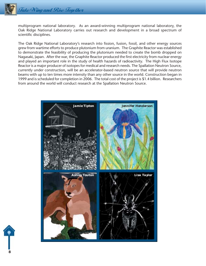multiprogram national laboratory. As an award-winning multiprogram national laboratory, the Oak Ridge National Laboratory carries out research and development in a broad spectrum of scientific disciplines.

The Oak Ridge National Laboratory's research into fission, fusion, fossil, and other energy sources grew from wartime efforts to produce plutonium from uranium. The Graphite Reactor was established to demonstrate the feasibility of producing the plutonium needed to create the bomb dropped on Nagasaki, Japan. After the war, the Graphite Reactor produced the first electricity from nuclear energy and played an important role in the study of health hazards of radioactivity. The High Flux Isotope Reactor is a major producer of isotopes for medical and research needs. The Spallation Neutron Source, currently under construction, will be an accelerator-based neutron source that will provide neutron beams with up to ten times more intensity than any other source in the world. Construction began in 1999 and is scheduled for completion in 2006. The total cost of the project is \$1.4 billion. Researchers from around the world will conduct research at the Spallation Neutron Source.



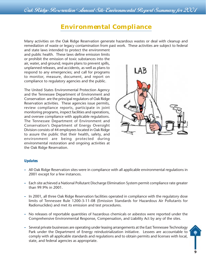# **Environmental Compliance**

Many activities on the Oak Ridge Reservation generate hazardous wastes or deal with cleanup and remediation of waste or legacy contamination from past work. These activities are subject to federal

and state laws intended to protect the environment and public health. These laws define emission limits or prohibit the emission of toxic substances into the air, water, and ground; require plans to prevent spills, unplanned releases, and accidents, as well as plans to respond to any emergencies; and call for programs to monitor, measure, document, and report on compliance to regulatory agencies and the public.

The United States Environmental Protection Agency and the Tennessee Department of Environment and Conservation are the principal regulators of Oak Ridge Reservation activities. These agencies issue permits, review compliance reports, participate in joint monitoring programs, inspect facilities and operations, and oversee compliance with applicable regulations. The Tennessee Department of Environment and Conservation's Department of Energy Oversight Division consists of 44 employees located in Oak Ridge to assure the public that their health, safety, and environment are being protected during environmental restoration and ongoing activities at the Oak Ridge Reservation.



#### *Updates*

- **–** All Oak Ridge Reservation sites were in compliance with all applicable environmental regulations in 2001 except for a few instances.
- **–** Each site achieved a National Pollutant Discharge Elimination System permit compliance rate greater than 99.9% in 2001.
- **–** In 2001, all three Oak Ridge Reservation facilities operated in compliance with the regulatory dose limits of Tennessee Rule 1200-3-11-08 (Emission Standards for Hazardous Air Pollutants for Radionuclides) and met its emission and test procedures.
- **–** No releases of reportable quantities of hazardous chemicals or asbestos were reported under the Comprehensive Environmental Response, Compensation, and Liability Act by any of the sites.
- **–** Several private businesses are operating under leasing arrangements at the East Tennessee Technology Park under the Department of Energy reindustrialization initiative. Lessees are accountable to comply with all applicable standards and regulations and to obtain permits and licenses with local, state, and federal agencies as appropriate.

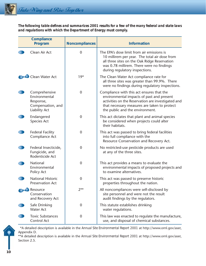*The following table defines and summarizes 2001 results for a few of the many federal and state laws and regulations with which the Department of Energy must comply.*

| <b>Compliance</b><br>Program                                                             | <b>Noncompliances</b> | <b>Information</b>                                                                                                                                                                                                              |
|------------------------------------------------------------------------------------------|-----------------------|---------------------------------------------------------------------------------------------------------------------------------------------------------------------------------------------------------------------------------|
| Clean Air Act                                                                            | $\mathbf 0$           | The EPA's dose limit from air emissions is<br>10 millirem per year. The total air dose from<br>all three sites on the Oak Ridge Reservation<br>was 0.78 millirem. There were no findings<br>during regulatory inspections.      |
| Clean Water Act                                                                          | $19*$                 | The Clean Water Act compliance rate for<br>all three sites was greater than 99.9%. There<br>were no findings during regulatory inspections.                                                                                     |
| Comprehensive<br>Environmental<br>Response,<br>Compensation, and<br><b>Liability Act</b> | $\mathbf 0$           | Compliance with this act ensures that the<br>environmental impacts of past and present<br>activities on the Reservation are investigated and<br>that necessary measures are taken to protect<br>the public and the environment. |
| Endangered<br>Species Act                                                                | $\mathbf 0$           | This act dictates that plant and animal species<br>be considered when projects could alter<br>their habitats.                                                                                                                   |
| <b>Federal Facility</b><br>Compliance Act                                                | $\mathbf 0$           | This act was passed to bring federal facilities<br>into full compliance with the<br>Resource Conservation and Recovery Act.                                                                                                     |
| Federal Insecticide,<br>Fungicide, and<br>Rodenticide Act                                | $\mathbf 0$           | No restricted-use pesticide products are used<br>at any of the three sites.                                                                                                                                                     |
| National<br>Environmental<br>Policy Act                                                  | $\boldsymbol{0}$      | This act provides a means to evaluate the<br>environmental impacts of proposed projects and<br>to examine alternatives.                                                                                                         |
| <b>National Historic</b><br><b>Preservation Act</b>                                      | $\mathbf 0$           | This act was passed to preserve historic<br>properties throughout the nation.                                                                                                                                                   |
| Resource<br>Conservation<br>and Recovery Act                                             | $2***$                | All noncompliances were self-disclosed by<br>site personnel and were not the result<br>audit findings by the regulators.                                                                                                        |
| Safe Drinking<br><b>Water Act</b>                                                        | 0                     | This statute establishes drinking<br>water regulations.                                                                                                                                                                         |
| <b>Toxic Substances</b><br>Control Act                                                   | 0                     | This law was enacted to regulate the manufacture,<br>use, and disposal of chemical substances.                                                                                                                                  |

\*A detailed description is available in the *Annual Site Environmental Report 2001* at http://www.ornl.gov/aser, Appendix D.

\*\*A detailed description is available in the *Annual Site Environmental Report 2001* at http://www.ornl.gov/aser, Section 2.5.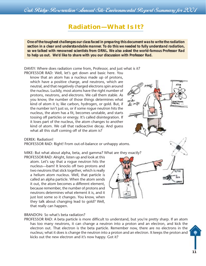Oak Ridge Reservation Annual Site Environmental Report Summary for 2001

# **Radiation—What Is It?**

*One of the toughest challenges our class faced in preparing this document was to write the radiation section in a clear and understandable manner. To do this we needed to fully understand radiation, so we talked with renowned scientists from ORNL. We also asked the world-famous Professor Rad to help us out. We'd like to share with you our discussion with Professor Rad.*

DAVEY: Where does radiation come from, Professor, and just what is it?

PROFESSOR RAD: Well, let's get down and basic here. You know that an atom has a nucleus made up of protons, which have a positive charge, and neutrons, which are neutral, and that negatively charged electrons spin around the nucleus. Luckily, most atoms have the right number of protons, neutrons, and electrons. We call them stable. As you know, the number of those things determines what kind of atom it is; like carbon, hydrogen, or gold. But, if the number isn't just so, or if some rogue neutron hits the nucleus, the atom has a fit, becomes unstable, and starts tossing off particles or energy. It's called disintegration. If it loses part of the nucleus, the atom changes to another kind of atom. We call that radioactive decay. And guess what all this stuff coming off of the atom is?

#### DEREK: Radiation!

PROFESSOR RAD: Right! From out-of-balance or unhappy atoms.

MIKE: But what about alpha, beta, and gamma? What are they exactly?

PROFESSOR RAD: Alright, listen up and look at this atom. Let's say that a rogue neutron hits the nucleus—bam! It knocks off two protons and two neutrons that stick together, which is really a helium atom nucleus. Well, that particle is called an alpha particle. When the atom sends it out, the atom becomes a different element, because remember, the number of protons and neutrons determines what element it is, and it just lost some so it changes. You know, when they talk about changing lead to gold? Well, that really can happen.

#### BRANDON: So what's beta radiation?

PROFESSOR RAD: A beta particle is more difficult to understand, but you're pretty sharp. If an atom has too many neutrons, it can change a neutron into a proton and an electron, and kick the electron out. That electron is the beta particle. Remember now, there are no electrons in the nucleus; what it does is change the neutron into a proton and an electron. It keeps the proton and kicks out the new electron and it's now happy. Got it?



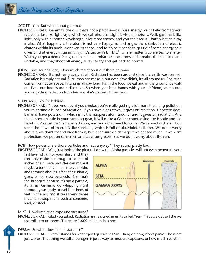

#### SCOTT: Yup. But what about gamma?

PROFESSOR RAD: Gamma's the guy that's not a particle—it is pure energy we call electromagnetic radiation, just like light rays, which we call photons. Light is visible photons. Well, gamma is like light, only with a shorter wavelength, a lot more energy, and you can't see it. That's what an X ray is also. What happens is the atom is not very happy, so it changes the distribution of electric charges within its nucleus or even its shape, and to do so it needs to get rid of some energy so it gives off that energy as gamma rays. It's Einstein's  $E = MC^2$ , where matter is converted to energy. When you get a dental X ray, the machine bombards some atoms and it makes them excited and unstable, and they shoot off energy/X rays to try and get back to normal.

#### JOHN: Boy, sounds scary. How much radiation is out there anyway?

PROFESSOR RAD: It's not really scary at all. Radiation has been around since the earth was formed. Radiation is simply natural. Sure, man can make it, but even if we didn't, it's all around us. Radiation comes from outer space, hitting us all day long. It's in the food we eat and in the ground we walk on. Even our bodies are radioactive. So when you hold hands with your girlfriend, watch out, you're getting radiation from her and she's getting it from you.

#### STEPHANIE: You're kidding.

PROFESSOR RAD: Nope. And boy, if you smoke, you're really getting a lot more than lung pollution; you're getting a bunch of radiation. If you have a gas stove, it gives off radiation. Concrete does; bananas have potassium, which isn't the happiest atom around, and it gives off radiation. And that lantern mantle in your camping gear, it will make a Geiger counter sing like Hootie and the Blowfish. You just can't escape radiation, and you don't need to worry. We've lived with radiation since the dawn of man. It's like sunshine, which is full of ultraviolet radiation. We don't worry about it, we don't try and hide from it, but it can sure do damage if we get too much. If we want protection, we put on sunscreen and wear sunglasses. But we don't worry about the sun.

#### ROB: How powerful are those particles and rays anyway? They sound pretty bad.

PROFESSOR RAD: Well, just look at the picture I drew up. Alpha particles will not even penetrate your

first layer of skin or your shirt, and they can only make it through a couple of inches of air. Beta particles can make it maybe a tenth of an inch into your skin, and through about 10 feet of air. Plastic, glass, or foil stop beta cold. Gamma's the strongest because it's not a particle, it's a ray. Gammas go whipping right through your body, travel hundreds of feet in the air, and it takes very dense material to stop them, such as concrete, lead, or steel.



MIKE: How is radiation exposure measured?

PROFESSOR RAD: Glad you asked. Radiation is measured in units called "rem." But we get so little we use millirem or mrem. There are 1,000 millirem in a rem.



#### DEBRA: So what does "rem" stand for?

PROFESSOR RAD: "Rem" stands for Roentgen Equivalent Man. Hang on now, don't panic. Those are just words. That thing we call a roentgen is just a way to measure exposure, or how much radiation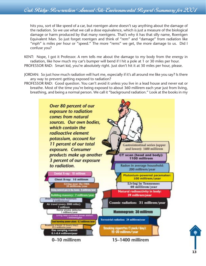hits you, sort of like speed of a car, but roentgen alone doesn't say anything about the damage of the radiation. So we use what we call a dose equivalence, which is just a measure of the biological damage or harm produced by that many roentgens. That's why it has that silly name, Roentgen Equivalent Man. So just forget roentgen and think of "rem" and "damage" from radiation like "mph" is miles per hour or "speed." The more "rems" we get, the more damage to us. Did I confuse you?

KENT: Nope, I got it Professor. A rem tells me about the damage to my body from the energy in radiation, like how much my car's bumper will bend if I hit a pole at 1 or 30 miles per hour. PROFESSOR RAD: Smart kid, you're absolutely right. Just don't hit it at 30 miles per hour, please.

- JORDAN: So just how much radiation will hurt me, especially if it's all around me like you say? Is there any way to prevent getting exposed to radiation?
- PROFESSOR RAD: Good question. You can't avoid it unless you live in a lead house and never eat or breathe. Most of the time you're being exposed to about 360 millirem each year just from living, breathing, and being a normal person. We call it "background radiation." Look at the books in my



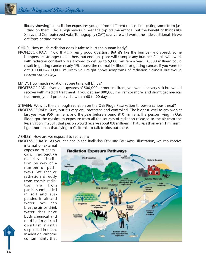library showing the radiation exposures you get from different things. I'm getting some from just sitting on them. Those high levels up near the top are man-made, but the benefit of things like X rays and Computerized Axial Tomography (CAT) scans are well worth the little additional risk we get from getting them.

CHRIS: How much radiation does it take to hurt the human body?

PROFESSOR RAD: Now that's a really good question. But it's like the bumper and speed. Some bumpers are stronger than others, but enough speed will crumple any bumper. People who work with radiation constantly are allowed to get up to 5,000 millirem a year. 10,000 millirem could result in getting cancer nearly 1% above the normal likelihood for getting cancer. If you were to get 100,000–200,000 millirem you might show symptoms of radiation sickness but would recover completely.

EMILY: How much radiation at one time will kill us?

- PROFESSOR RAD: If you got upwards of 500,000 or more millirem, you would be very sick but would recover with medical treatment. If you get, say 800,000 millirem or more, and didn't get medical treatment, you'd probably die within 60 to 90 days .
- STEVEN: Wow! Is there enough radiation on the Oak Ridge Reservation to pose a serious threat? PROFESSOR RAD: Sure, but it's very well protected and controlled. The highest level to any worker last year was 959 millirem, and the year before around 810 millirem. If a person living in Oak Ridge got the maximum exposure from all the sources of radiation released to the air from the Reservation in 2001, that person would receive about 0.8 millirem. That's less than even 1 millirem. I get more than that flying to California to talk to kids out there.

#### ASHLEY: How are we exposed to radiation?

PROFESSOR RAD: As you can see in the *Radiation Exposure Pathways* illustration, we can receive

internal or external exposure to chemicals, radioactive materials, and radiation by way of a number of pathways. We receive radiation directly from cosmic radiation and from particles embedded in soil and suspended in air and water. We can breathe air or drink water that have both chemical and radiological contaminants suspended in them. In addition, airborne contaminants that



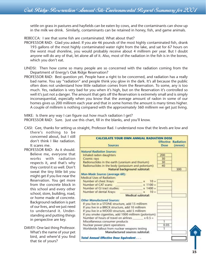settle on grass in pastures and hayfields can be eaten by cows, and the contaminants can show up in the milk we drink. Similarly, contaminants can be retained in honey, fish, and game animals.

REBECCA: I see that some fish are contaminated. What about that?

- PROFESSOR RAD: Glad you asked. If you ate 46 pounds of the most highly contaminated fish, drank 193 gallons of the most highly contaminated water right from the lake, and sat for 67 hours on the worst mud shoreline, you would probably receive about 4 millirem per year. But I doubt anyone will do any of that, let alone all of it. Also, most of the radiation in the fish is in the bones, which you don't eat.
- LINDSI: Then how come so many people are so concerned with the radiation coming from the Department of Energy's Oak Ridge Reservation?
- PROFESSOR RAD: Best question yet. People have a right to be concerned, and radiation has a really bad name. You say "radiation" and people think you glow in the dark. It's all because the public often does not understand how little radiation comes from the Reservation. To some, any is too much. Yes, radiation is very bad for you when it's high, but on the Reservation it's controlled so well it's just not a danger. The amount that gets off the Reservation is extremely small and is simply inconsequential, especially when you know that the average amount of radon in some of our homes gives us 200 millirem each year and that in some homes the amount is many times higher. A couple of millirem is nothing compared with the approximately 360 millirem we get just living.

MIKE: Is there any way I can figure out how much radiation I get? PROFESSOR RAD: Sure. Just use this chart, fill in the blanks, and you'll know.

CASI: Gee, thanks for setting us straight, Professor Rad. I understand now that the levels are low and there's nothing to be

concerned about, but I still don't think I like radiation. It scares me.

- PROFESSOR RAD: As it should. Believe me, everyone that works with radiation respects it, and that's why they control it so well. Don't sweat the tiny little bit you might get if you live near the Reservation. You get more from the concrete block in this school and every other school, store, building, road, or home made of concrete. Background radiation is part of our lives, and we just need to understand it. Understanding and putting things in perspective are key.
- DAVEY: One last thing Professor. What's the name of your pet bird, and where'd you find that tie of yours?

| <b>Sources</b>                                                                                                                                                                                                                                                                                                                                                                                                                                                        | Dose | <b>Effective Radiation</b><br>(mrem) |
|-----------------------------------------------------------------------------------------------------------------------------------------------------------------------------------------------------------------------------------------------------------------------------------------------------------------------------------------------------------------------------------------------------------------------------------------------------------------------|------|--------------------------------------|
| <b>Natural Radiation Sources:</b>                                                                                                                                                                                                                                                                                                                                                                                                                                     |      |                                      |
| Inhaled radon daughters                                                                                                                                                                                                                                                                                                                                                                                                                                               | 200  |                                      |
| Cosmic rays                                                                                                                                                                                                                                                                                                                                                                                                                                                           | 30   |                                      |
| Radionuclides in the earth (uranium and thorium)                                                                                                                                                                                                                                                                                                                                                                                                                      | 30   |                                      |
| Radionuclides in the body (potassium and polonium)                                                                                                                                                                                                                                                                                                                                                                                                                    | 40   |                                      |
| Natural background subtotal:                                                                                                                                                                                                                                                                                                                                                                                                                                          |      | 300                                  |
| Man-Made Sources (average 60):<br>Medical Uses of Radiation:<br>Number of chest Xrays:<br>$10 =$<br>Number of CAT scans:<br>$x 1100 =$<br>Number of GI tract studies:<br>$x 1400 =$<br>Number of dental Xrays:<br>$10 =$                                                                                                                                                                                                                                              |      |                                      |
| Medical subtotal:                                                                                                                                                                                                                                                                                                                                                                                                                                                     |      |                                      |
| <b>Other Manufactured Sources:</b><br>If you live in a STONE structure, add 15 millirem<br>If you live in a BRICK structure, add 10 millirem<br>If you live in a WOOD structure, add 5 millirem<br>If you smoke cigarettes, add 1000 millirem (polonium)<br>Number of hours of travel on airlines<br>$x0.5=$<br>Miscellaneous consumer products<br>Nuclear power plant operations<br>Worldwide fallout from nuclear weapons testing<br>Manufactured sources subtotal: | 0.05 |                                      |
| <b>Total Annual Effective Dose Equivalent</b>                                                                                                                                                                                                                                                                                                                                                                                                                         |      |                                      |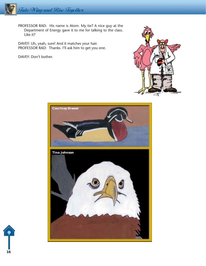

PROFESSOR RAD: His name is Atom. My tie? A nice guy at the Department of Energy gave it to me for talking to the class. Like it?

DAVEY: Uh, yeah, sure! And it matches your hair. PROFESSOR RAD: Thanks. I'll ask him to get you one.

DAVEY: Don't bother.





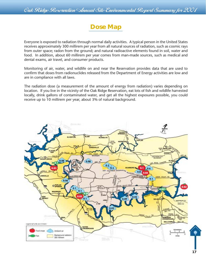

Everyone is exposed to radiation through normal daily activities. A typical person in the United States receives approximately 300 millirem per year from all natural sources of radiation, such as cosmic rays from outer space; radon from the ground; and natural radioactive elements found in soil, water and food. In addition, about 60 millirem per year comes from man-made sources, such as medical and dental exams, air travel, and consumer products.

Monitoring of air, water, and wildlife on and near the Reservation provides data that are used to confirm that doses from radionuclides released from the Department of Energy activities are low and are in compliance with all laws.

The radiation dose (a measurement of the amount of energy from radiation) varies depending on location. If you live in the vicinity of the Oak Ridge Reservation, eat lots of fish and wildlife harvested locally, drink gallons of contaminated water, and get all the highest exposures possible, you could receive up to 10 millirem per year, about 3% of natural background.

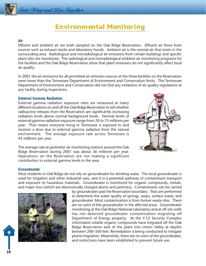# **Environmental Monitoring**

#### *Air*

Effluent and ambient air are both sampled on the Oak Ridge Reservation. Effluent air flows from sources such as exhaust stacks and laboratory hoods. Ambient air is the normal air that exists in the surrounding area. Radiological and nonradiological air emissions from certain buildings and specific plant sites are monitored. The radiological and nonradiological ambient air monitoring programs for the facilities and the Oak Ridge Reservation show that plant emissions do not significantly affect local air quality.

In 2001 the air emissions for all permitted air emission sources at the three facilities on the Reservation were lower than the Tennessee Department of Environment and Conservation limits. The Tennessee Department of Environment and Conservation did not find any violations of air quality regulations at any facility during inspections.

#### *External Gamma Radiation*

External gamma radiation exposure rates are measured at many different locations on and off the Oak Ridge Reservation to tell whether radioactive releases from the Reservation are significantly increasing radiation levels above normal background levels. Normal levels of external gamma radiation exposure range from 20 to 73 millirem per year. That means everyone living in Tennessee is exposed to and receives a dose due to external gamma radiation from the natural environment. The average exposure rate across Tennessee is 45 millirem per year.



The average rate at perimeter air monitoring stations around the Oak Ridge Reservation during 2001 was about 36 millirem per year. Operations on the Reservation are not making a significant contribution to external gamma levels in the area.

#### *Groundwater*

Most residents in Oak Ridge do not rely on groundwater for drinking water. The local groundwater is used for irrigation and other industrial uses, and it is a potential pathway of contaminant transport and exposure to hazardous materials. Groundwater is monitored for organic compounds, metals, and major ions (which are electronically charged atoms and particles). Contaminants can be carried



by groundwater past the Reservation boundary. Tests are performed to determine the water quality of springs, seeps, surface water, and groundwater. Most contamination is from former waste sites. There are no users of the groundwater in the affected areas. Groundwater monitoring at the Oak Ridge National Laboratory and at off-site wells has not detected groundwater contamination migrating off Department of Energy property. At the Y-12 Security Complex chlorinated volatile organic compounds have migrated off the Oak Ridge Reservation east of the plant into Union Valley at depths between 200–500 feet. Remediation is being conducted to mitigate plume migration. Meanwhile, there are no users of the groundwater, and restrictions have been established to prevent future use.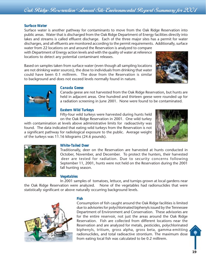#### *Surface Water*

Surface water is another pathway for contaminants to move from the Oak Ridge Reservation into public areas. Water that is discharged from the Oak Ridge Department of Energy facilities directly into lakes and streams is called effluent discharge. Each of the three major sites has a permit for water discharges, and all effluents are monitored according to the permit requirements. Additionally, surface water from 22 locations on and around the Reservation is analyzed to compare

with Department of Energy action levels and with the quality of water at reference locations to detect any potential contaminant releases.

Based on samples taken from surface water (even though all sampling locations are not drinking water sources), the dose to individuals from drinking that water could have been 0.1 millirem. The dose from the Reservation is similar to background and does not exceed levels normally found in nature.





#### *Canada Geese*

Canada geese are not harvested from the Oak Ridge Reservation, but hunts are held in adjacent areas. One hundred and thirteen geese were rounded up for a radiation screening in June 2001. None were found to be contaminated.

#### *Eastern Wild Turkeys*

Fifty-four wild turkeys were harvested during hunts held on the Oak Ridge Reservation in 2001. One wild turkey

with contamination at levels above administrative limits for radioactivity was found. The data indicated that eating wild turkeys from the Reservation is not a significant pathway for radiological exposure to the public. Average weight of the turkeys was 11.16 kilograms (24.6 pounds).





#### *White-Tailed Deer*

Traditionally, deer on the Reservation are harvested at hunts conducted in October, November, and December. To protect the hunters, their harvested deer are tested for radiation. Due to security concerns following September 11, 2001, hunts were not held on the Reservation during the 2001 fall hunting season.

#### *Vegetables*

In 2001 samples of tomatoes, lettuce, and turnips grown at local gardens near the Oak Ridge Reservation were analyzed. None of the vegetables had radionuclides that were statistically significant or above naturally occurring background levels.



#### *Fish*

Consumption of fish caught around the Oak Ridge facilities is limited due to advisories for polychlorinated biphenyls issued by the Tennessee Department of Environment and Conservation. These advisories are for the entire reservoir, not just the areas around the Oak Ridge Reservation. Fish are collected from different locations near the Reservation and are analyzed for metals, pesticides, polychlorinated biphenyls, tritium, gross alpha, gross beta, gamma-emitting radionuclides, and total radioactive strontium. The maximum dose from eating local fish was calculated to be 0.2 millirem.

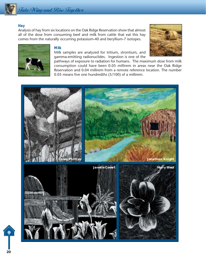

#### *Hay*

Analysis of hay from six locations on the Oak Ridge Reservation show that almost all of the dose from consuming beef and milk from cattle that eat this hay comes from the naturally occurring potassium-40 and beryllium-7 isotopes.





#### *Milk*

Milk samples are analyzed for tritium, strontium, and gamma-emitting radionuclides. Ingestion is one of the

pathways of exposure to radiation for humans. The maximum dose from milk consumption could have been 0.05 millirem in areas near the Oak Ridge Reservation and 0.04 millirem from a remote reference location. The number 0.05 means five one hundredths (5/100) of a millirem.



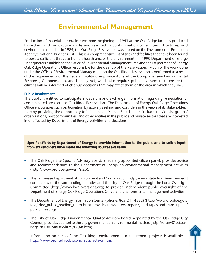# **Environmental Management**

Production of materials for nuclear weapons beginning in 1943 at the Oak Ridge facilities produced hazardous and radioactive waste and resulted in contamination of facilities, structures, and environmental media. In 1989, the Oak Ridge Reservation was placed on the Environmental Protection Agency's National Priorities List. This is a comprehensive list of sites and facilities that have been found to pose a sufficient threat to human health and/or the environment. In 1990 Department of Energy Headquarters established the Office of Environmental Management, making the Department of Energy Oak Ridge Operations Office responsible for the cleanup of the Reservation. Much of the work done under the Office of Environmental Management on the Oak Ridge Reservation is performed as a result of the requirements of the Federal Facility Compliance Act and the Comprehensive Environmental Response, Compensation, and Liability Act, which also requires public involvement to ensure that citizens will be informed of cleanup decisions that may affect them or the area in which they live.

#### *Public Involvement*

The public is entitled to participate in decisions and exchange information regarding remediation of contaminated areas on the Oak Ridge Reservation. The Department of Energy Oak Ridge Operations Office encourages such participation by actively seeking and considering the views of its stakeholders, thereby providing the opportunity to influence decisions. Stakeholders include individuals, groups/ organizations, host communities, and other entities in the public and private sectors that are interested in or affected by Department of Energy activities and decisions.

*Specific efforts by Department of Energy to provide information to the public and to solicit input from stakeholders have made the following sources available.*

- **–** The Oak Ridge Site Specific Advisory Board, a federally appointed citizen panel, provides advice and recommendations to the Department of Energy on environmental management activities (http://www.oro.doe.gov/em/ssab).
- **–** The Tennessee Department of Environment and Conservation [http://www.state.tn.us/environment] contracts with the surrounding counties and the city of Oak Ridge through the Local Oversight Committee (http://www.localoversight.org) to provide independent public oversight of the Department of Energy Oak Ridge Operations Office and environmental management activities.
- **–** The Department of Energy Information Center (phone: 865-241-4582) (http://www.oro.doe.gov/ foia/ doe\_public\_reading\_room.htm) provides newsletters, reports, and tapes and transcripts of public meetings.
- **–** The City of Oak Ridge Environmental Quality Advisory Board, appointed by the Oak Ridge City Council, provides counsel to the city government on environmental matters (http://orserv01.ci.oakridge.tn.us/ComDev-html/EQAB.htm).
- **–** Information on each of the Oak Ridge environmental management projects is available at http://www.bechteljacobs.com/facts/facts-or.htm.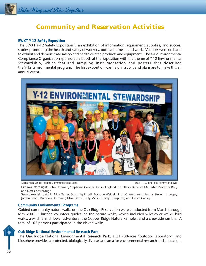

# **Community and Reservation Activities**

#### *BWXT Y-12 Safety Exposition*

The BWXT Y-12 Safety Exposition is an exhibition of information, equipment, supplies, and success stories promoting the health and safety of workers, both at home at and work. Vendors were on hand to exhibit and demonstrate safety- and health-related products and equipment. The Y-12 Environmental Compliance Organization sponsored a booth at the Exposition with the theme of Y-12 Environmental Stewardship, which featured sampling instrumentation and posters that described the Y-12 Environmental program. The first exposition was held in 2001, and plans are to make this an annual event.





*First row left to right:* John Hoffman, Stephanie Cooper, Ashley England, Casi Italio, Rebecca McCarter, Professor Rad, and Derek Scarbrough

*Second row left to right:* Mike Tarter, Scott Hepinstall, Brandon Weigel, Lindsi Grimes, Kent Hersha, Steven Hittinger, Jordan Smith, Brandon Drummer, Mike Davis, Emily McLin, Davey Humphrey, and Debra Cagley

#### *Community Environmental Programs*

Guided community nature walks on the Oak Ridge Reservation were conducted from March through May 2001. Thirteen volunteer guides led the nature walks, which included wildflower walks, bird walks, a wildlife and flower adventure, the Copper Ridge Nature Ramble , and a creekside ramble. A total of 162 persons participated in the eleven walks.



#### *Oak Ridge National Environmental Research Park*

The Oak Ridge National Environmental Research Park, a 21,980-acre "outdoor laboratory" and biosphere provides a protected, biologically diverse land area for environmental research and education.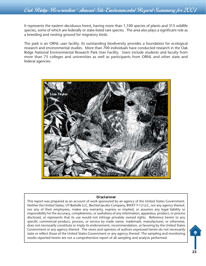It represents the eastern deciduous forest, having more than 1,100 species of plants and 315 wildlife species, some of which are federally or state-listed rare species. The area also plays a significant role as a breeding and nesting ground for migratory birds.

The park is an ORNL user facility. Its outstanding biodiversity provides a foundation for ecological research and environmental studies. More than 700 individuals have conducted research in the Oak Ridge National Environmental Research Park User Facility. Users include students and faculty from more than 75 colleges and universities as well as participants from ORNL and other state and federal agencies.



#### **Disclaimer**

This report was prepared as an account of work sponsored by an agency of the United States Government. Neither the United States, UT-Battelle LLC, Bechtel Jacobs Company, BWXT Y-12 LLC, nor any agency thereof, nor any of their employees, makes any warranty, express or implied, or assumes any legal liability or responsibility for the accuracy, completeness, or usefulness of any information, apparatus, product, or process disclosed, or represents that its use would not infringe privately owned rights. Reference herein to any specific commercial product, process, or service by trade name, trademark, manufacturer, or otherwise, does not necessarily constitute or imply its endorsement, recommendation, or favoring by the United States Government or any agency thereof. The views and opinions of authors expressed herein do not necessarily state or reflect those of the United States Government or any agency thereof. The sampling and monitoring results reported herein are not a comprehensive report of all sampling and analysis performed.